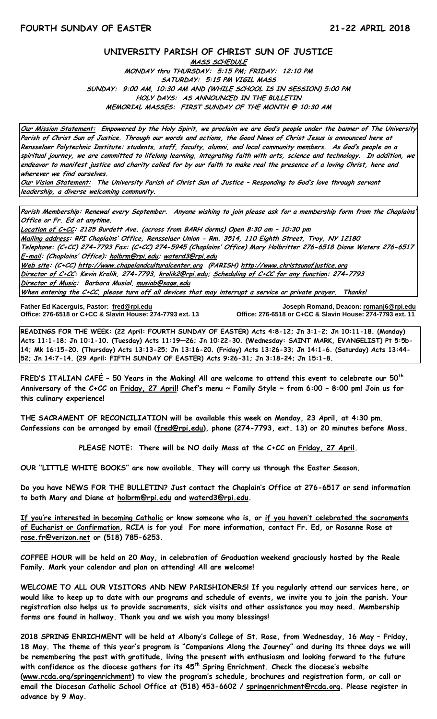#### **UNIVERSITY PARISH OF CHRIST SUN OF JUSTICE**

**MASS SCHEDULE MONDAY thru THURSDAY: 5:15 PM; FRIDAY: 12:10 PM SATURDAY: 5:15 PM VIGIL MASS SUNDAY: 9:00 AM, 10:30 AM AND (WHILE SCHOOL IS IN SESSION) 5:00 PM HOLY DAYS: AS ANNOUNCED IN THE BULLETIN MEMORIAL MASSES: FIRST SUNDAY OF THE MONTH @ 10:30 AM**

**Our Mission Statement: Empowered by the Holy Spirit, we proclaim we are God's people under the banner of The University Parish of Christ Sun of Justice. Through our words and actions, the Good News of Christ Jesus is announced here at Rensselaer Polytechnic Institute: students, staff, faculty, alumni, and local community members. As God's people on a spiritual journey, we are committed to lifelong learning, integrating faith with arts, science and technology. In addition, we endeavor to manifest justice and charity called for by our faith to make real the presence of a loving Christ, here and wherever we find ourselves.**

**Our Vision Statement: The University Parish of Christ Sun of Justice – Responding to God's love through servant leadership, a diverse welcoming community.**

**Parish Membership: Renewal every September. Anyone wishing to join please ask for a membership form from the Chaplains' Office or Fr. Ed at anytime.**

**Location of C+CC: 2125 Burdett Ave. (across from BARH dorms) Open 8:30 am – 10:30 pm Mailing address: RPI Chaplains' Office, Rensselaer Union - Rm. 3514, 110 Eighth Street, Troy, NY 12180 Telephone: (C+CC) 274-7793 Fax: (C+CC) 274-5945 (Chaplains' Office) Mary Holbritter 276-6518 Diane Waters 276-6517 E-mail: (Chaplains' Office): [holbrm@rpi.edu;](mailto:holbrm@rpi.edu) waterd3@rpi.edu Web site: (C+CC[\) http://www.chapelandculturalcenter.org](http://www.chapelandculturalcenter.org/) (PARISH) http://www.christsunofjustice.org Director of C+CC: Kevin Krolik, 274-7793, krolik2@rpi.edu; Scheduling of C+CC for any function: 274-7793 Director of Music: Barbara Musial, [musiab@sage.edu](mailto:musiab@sage.edu) When entering the C+CC, please turn off all devices that may interrupt a service or private prayer. Thanks!** 

**Office: 276-6518 or C+CC & Slavin House: 274-7793 ext. 13** 

**Father Ed Kacerguis, Pastor: [fred@rpi.edu](mailto:fred@rpi.edu) Joseph Romand, Deacon[: romanj6@rpi.edu](mailto:romanj6@rpi.edu)**

**READINGS FOR THE WEEK: (22 April: FOURTH SUNDAY OF EASTER) Acts 4:8-12; Jn 3:1-2; Jn 10:11-18. (Monday) Acts 11:1-18; Jn 10:1-10. (Tuesday) Acts 11:19—26; Jn 10:22-30. (Wednesday: SAINT MARK, EVANGELIST) Pt 5:5b-14; Mk 16:15-20. (Thursday) Acts 13:13-25; Jn 13:16-20. (Friday) Acts 13:26-33; Jn 14:1-6. (Saturday) Acts 13:44- 52; Jn 14:7-14. (29 April: FIFTH SUNDAY OF EASTER) Acts 9:26-31; Jn 3:18-24; Jn 15:1-8.**

**FRED'S ITALIAN CAFÉ – 50 Years in the Making! All are welcome to attend this event to celebrate our 50th Anniversary of the C+CC on Friday, 27 April! Chef's menu ~ Family Style ~ from 6:00 – 8:00 pm! Join us for this culinary experience!**

**THE SACRAMENT OF RECONCILIATION will be available this week on Monday, 23 April, at 4:30 pm. Confessions can be arranged by email [\(fred@rpi.edu\)](mailto:fred@rpi.edu), phone (274-7793, ext. 13) or 20 minutes before Mass.**

**PLEASE NOTE: There will be NO daily Mass at the C+CC on Friday, 27 April.**

**OUR "LITTLE WHITE BOOKS" are now available. They will carry us through the Easter Season.**

**Do you have NEWS FOR THE BULLETIN? Just contact the Chaplain's Office at 276-6517 or send information to both Mary and Diane at holbrm@rpi.edu and waterd3@rpi.edu.**

**If you're interested in becoming Catholic or know someone who is, or if you haven't celebrated the sacraments of Eucharist or Confirmation, RCIA is for you! For more information, contact Fr. Ed, or Rosanne Rose at [rose.fr@verizon.net](mailto:rose.fr@verizon.net) or (518) 785-6253.**

**COFFEE HOUR will be held on 20 May, in celebration of Graduation weekend graciously hosted by the Reale Family. Mark your calendar and plan on attending! All are welcome!**

**WELCOME TO ALL OUR VISITORS AND NEW PARISHIONERS! If you regularly attend our services here, or would like to keep up to date with our programs and schedule of events, we invite you to join the parish. Your registration also helps us to provide sacraments, sick visits and other assistance you may need. Membership forms are found in hallway. Thank you and we wish you many blessings!**

**2018 SPRING ENRICHMENT will be held at Albany's College of St. Rose, from Wednesday, 16 May – Friday, 18 May. The theme of this year's program is "Companions Along the Journey" and during its three days we will be remembering the past with gratitude, living the present with enthusiasm and looking forward to the future with confidence as the diocese gathers for its 45th Spring Enrichment. Check the diocese's website [\(www.rcda.org/springenrichment](http://www.rcda.org/springenrichment)) to view the program's schedule, brochures and registration form, or call or email the Diocesan Catholic School Office at (518) 453-6602 / [springenrichment@rcda.org.](mailto:springenrichment@rcda.org) Please register in advance by 9 May.**